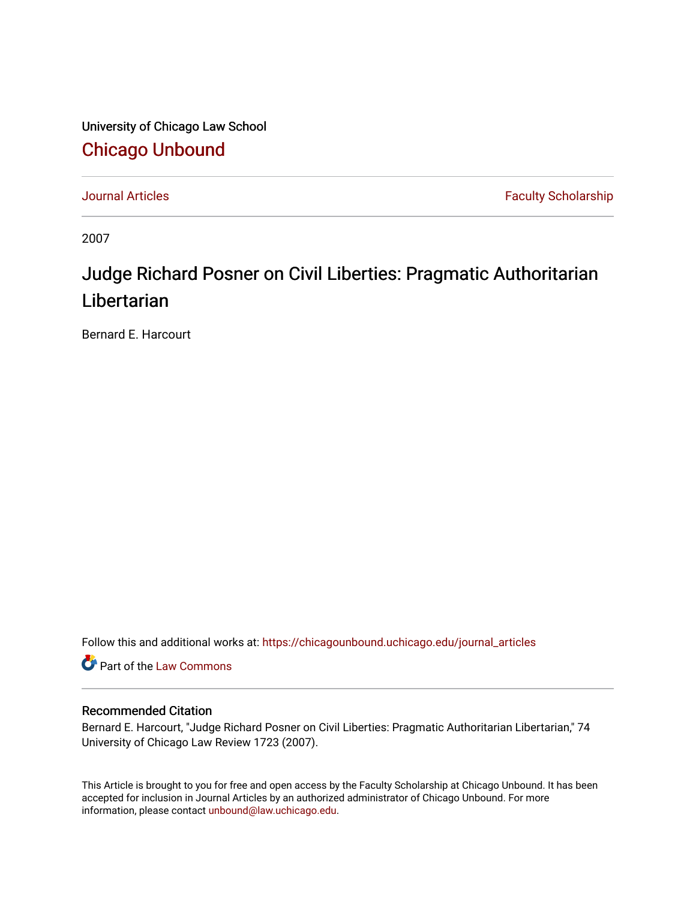University of Chicago Law School [Chicago Unbound](https://chicagounbound.uchicago.edu/)

[Journal Articles](https://chicagounbound.uchicago.edu/journal_articles) **Faculty Scholarship Faculty Scholarship** 

2007

# Judge Richard Posner on Civil Liberties: Pragmatic Authoritarian Libertarian

Bernard E. Harcourt

Follow this and additional works at: [https://chicagounbound.uchicago.edu/journal\\_articles](https://chicagounbound.uchicago.edu/journal_articles?utm_source=chicagounbound.uchicago.edu%2Fjournal_articles%2F1460&utm_medium=PDF&utm_campaign=PDFCoverPages) 

Part of the [Law Commons](http://network.bepress.com/hgg/discipline/578?utm_source=chicagounbound.uchicago.edu%2Fjournal_articles%2F1460&utm_medium=PDF&utm_campaign=PDFCoverPages)

# Recommended Citation

Bernard E. Harcourt, "Judge Richard Posner on Civil Liberties: Pragmatic Authoritarian Libertarian," 74 University of Chicago Law Review 1723 (2007).

This Article is brought to you for free and open access by the Faculty Scholarship at Chicago Unbound. It has been accepted for inclusion in Journal Articles by an authorized administrator of Chicago Unbound. For more information, please contact [unbound@law.uchicago.edu](mailto:unbound@law.uchicago.edu).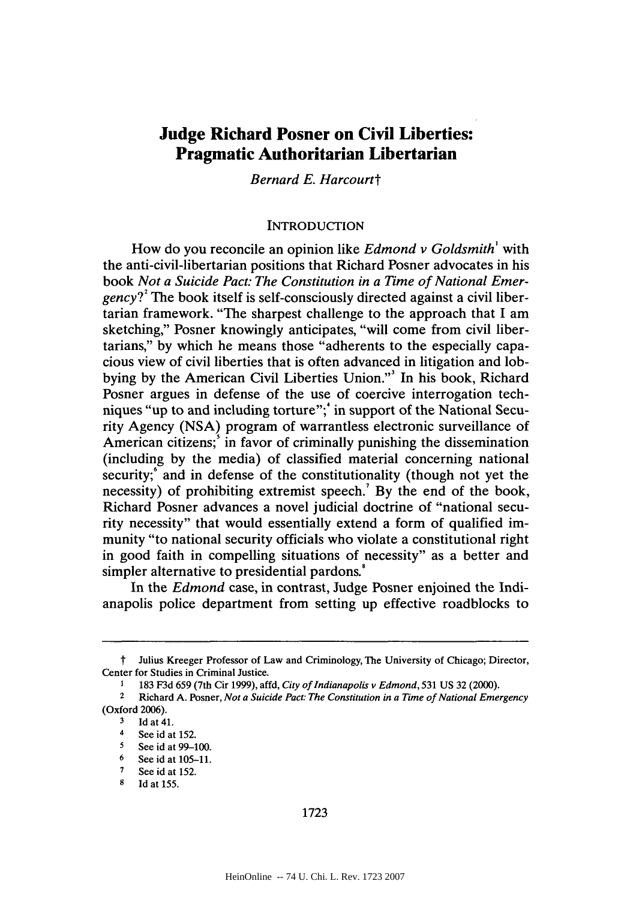# **Judge Richard Posner on Civil Liberties: Pragmatic Authoritarian Libertarian**

*Bernard E. Harcourtt*

#### **INTRODUCTION**

How do you reconcile an opinion like *Edmond v Goldsmith' with* the anti-civil-libertarian positions that Richard Posner advocates in his book *Not a Suicide Pact: The Constitution in a Time of National Emergency*?<sup>2</sup> The book itself is self-consciously directed against a civil libertarian framework. "The sharpest challenge to the approach that **I** am sketching," Posner knowingly anticipates, "will come from civil libertarians," **by** which he means those "adherents to the especially capacious view of civil liberties that is often advanced in litigation and lobbying **by** the American Civil Liberties Union."' In his book, Richard Posner argues in defense of the use of coercive interrogation techniques "up to and including torture";' in support of the National Security Agency **(NSA)** program of warrantless electronic surveillance of American citizens;' in favor of criminally punishing the dissemination (including **by** the media) of classified material concerning national security; and in defense of the constitutionality (though not yet the necessity) of prohibiting extremist speech.' **By** the end of the book, Richard Posner advances a novel judicial doctrine of "national security necessity" that would essentially extend a form of qualified immunity "to national security officials who violate a constitutional right in good faith in compelling situations of necessity" as a better and simpler alternative to presidential pardons.'

In the *Edmond* case, in contrast, Judge Posner enjoined the Indianapolis police department from setting up effective roadblocks to

t Julius Kreeger Professor of Law and Criminology, The University of Chicago; Director, Center for Studies in Criminal Justice.

<sup>1</sup> **183 F3d** *659* (7th Cir **1999),** affd, *City of Indianapolis v Edmond,* **531 US 32** (2000).

<sup>2</sup> Richard **A.** Posner, *Not a Suicide Pact: The Constitution in a Time of National Emergency* (Oxford **2006).**

 $\frac{3}{4}$  **Id at 41.** 

<sup>4</sup> See id at  $152$ .

*<sup>5</sup>* See id at **99-100.**

**<sup>6</sup>** See id at **105-11. 7** See id at **152.**

**<sup>8</sup> Id** at **155.**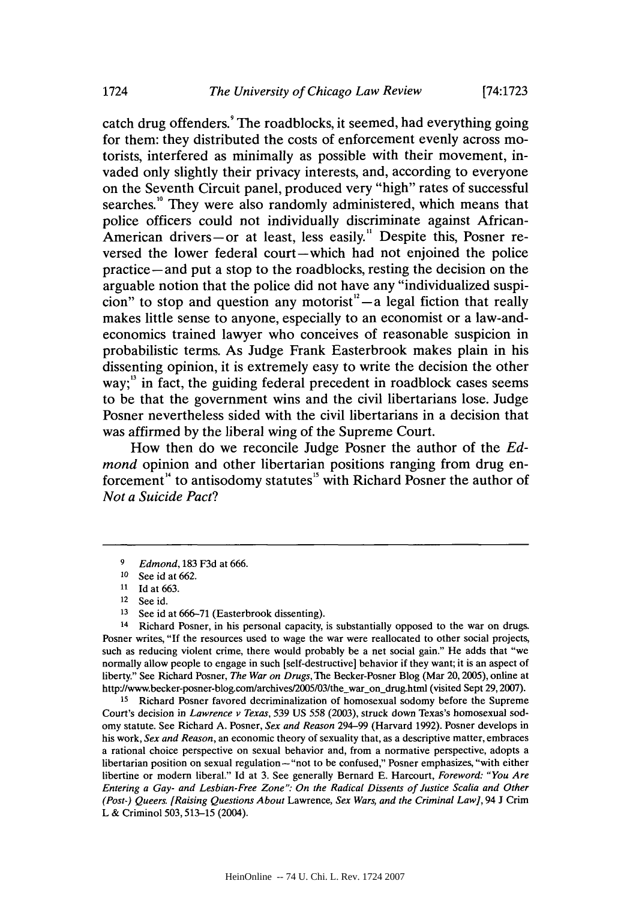catch drug offenders.' The roadblocks, it seemed, had everything going for them: they distributed the costs of enforcement evenly across motorists, interfered as minimally as possible with their movement, invaded only slightly their privacy interests, and, according to everyone on the Seventh Circuit panel, produced very "high" rates of successful searches.<sup>10</sup> They were also randomly administered, which means that police officers could not individually discriminate against African-American drivers-or at least, less easily.<sup>"</sup> Despite this, Posner reversed the lower federal court-which had not enjoined the police practice -and put a stop to the roadblocks, resting the decision on the arguable notion that the police did not have any "individualized suspicion" to stop and question any motorist<sup> $n<sup>2</sup> - a$  legal fiction that really</sup> makes little sense to anyone, especially to an economist or a law-andeconomics trained lawyer who conceives of reasonable suspicion in probabilistic terms. As Judge Frank Easterbrook makes plain in his dissenting opinion, it is extremely easy to write the decision the other way;<sup>13</sup> in fact, the guiding federal precedent in roadblock cases seems to be that the government wins and the civil libertarians lose. Judge Posner nevertheless sided with the civil libertarians in a decision that was affirmed **by** the liberal wing of the Supreme Court.

How then do we reconcile Judge Posner the author of the *Edmond* opinion and other libertarian positions ranging from drug enforcement<sup>"</sup> to antisodomy statutes<sup>"</sup> with Richard Posner the author of *Not a Suicide Pact?*

<sup>14</sup> Richard Posner, in his personal capacity, is substantially opposed to the war on drugs. Posner writes, **"If** the resources used to wage the war were reallocated to other social projects, such as reducing violent crime, there would probably be a net social gain." He adds that "we normally allow people to engage in such [self-destructive] behavior if they want; it is an aspect of liberty." See Richard Posner, *The War on Drugs,* The Becker-Posner Blog (Mar **20,2005),** online at http://www.becker-posner-blog.com/archives/2005/03/the\_war\_on\_drug.html (visited Sept 29, 2007).

15 Richard Posner favored decriminalization of homosexual sodomy before the Supreme Court's decision in *Lawrence v Texas, 539* **US** *558* **(2003),** struck down Texas's homosexual sodomy statute. See Richard **A.** Posner, *Sex and Reason* 294-99 (Harvard **1992).** Posner develops in his work, *Sex and Reason,* an economic theory of sexuality that, as a descriptive matter, embraces a rational choice perspective on sexual behavior and, from a normative perspective, adopts a libertarian position on sexual regulation-"not to be confused," Posner emphasizes, "with either libertine or modem liberal." **Id** at **3.** See generally Bernard **E.** Harcourt, *Foreword: "You Are Entering a Gay- and Lesbian-Free Zone": On the Radical Dissents of Justice Scalia and Other (Post-) Queers. [Raising Questions About* Lawrence, *Sex Wars, and the Criminal Law],* 94 **J** Crim L **&** Criminol **503,513-15** (2004).

**<sup>9</sup>** *Edmond,* **183 F3d** at **666.**

**<sup>10</sup>** See id at **662.**

**<sup>11</sup>** Id at **663.**

See id.

**<sup>13</sup>**See id at **666-71** (Easterbrook dissenting).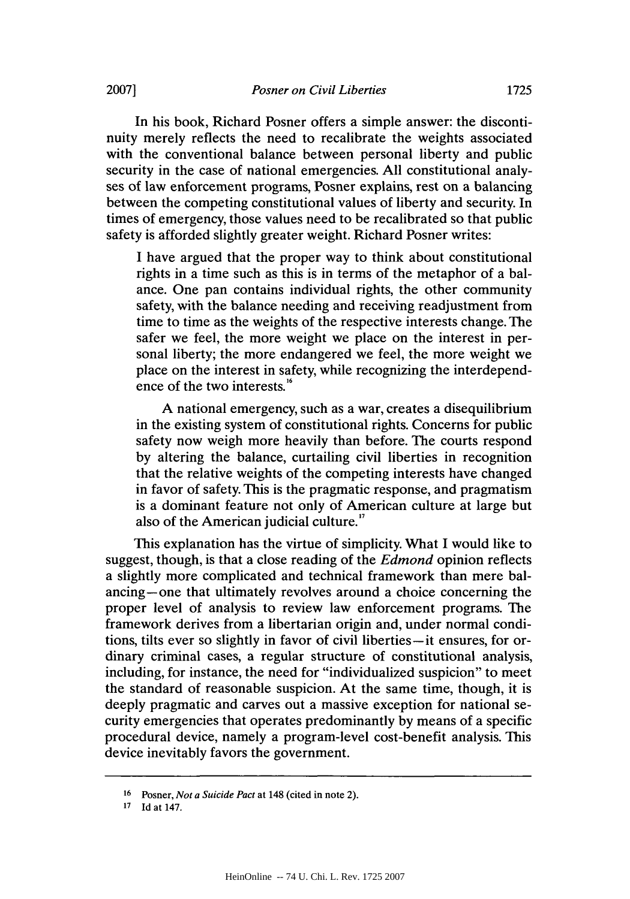In his book, Richard Posner offers a simple answer: the discontinuity merely reflects the need to recalibrate the weights associated with the conventional balance between personal liberty and public security in the case of national emergencies. **All** constitutional analyses of law enforcement programs, Posner explains, rest on a balancing between the competing constitutional values of liberty and security. In times of emergency, those values need to be recalibrated so that public safety is afforded slightly greater weight. Richard Posner writes:

**I** have argued that the proper way to think about constitutional rights in a time such as this is in terms of the metaphor of a balance. One pan contains individual rights, the other community safety, with the balance needing and receiving readjustment from time to time as the weights of the respective interests change. The safer we feel, the more weight we place on the interest in personal liberty; the more endangered we feel, the more weight we place on the interest in safety, while recognizing the interdependence of the two interests.<sup>16</sup>

**A** national emergency, such as a war, creates a disequilibrium in the existing system of constitutional rights. Concerns for public safety now weigh more heavily than before. The courts respond **by** altering the balance, curtailing civil liberties **in** recognition that the relative weights of the competing interests have changed in favor of safety. This is the pragmatic response, and pragmatism is a dominant feature not only of American culture at large but also of the American judicial culture."

This explanation has the virtue of simplicity. What **I** would like to suggest, though, is that a close reading of the *Edmond* opinion reflects a slightly more complicated and technical framework than mere balancing-one that ultimately revolves around a choice concerning the proper level of analysis to review law enforcement programs. The framework derives from a libertarian origin and, under normal conditions, tilts ever so slightly in favor of civil liberties-it ensures, for ordinary criminal cases, a regular structure of constitutional analysis, including, for instance, the need for "individualized suspicion" to meet the standard of reasonable suspicion. At the same time, though, it is deeply pragmatic and carves out a massive exception for national security emergencies that operates predominantly **by** means of a specific procedural device, namely a program-level cost-benefit analysis. This device inevitably favors the government.

**<sup>16</sup>**Posner, *Not a Suicide Pact at* 148 (cited in note 2).

**<sup>17</sup>Id** at 147.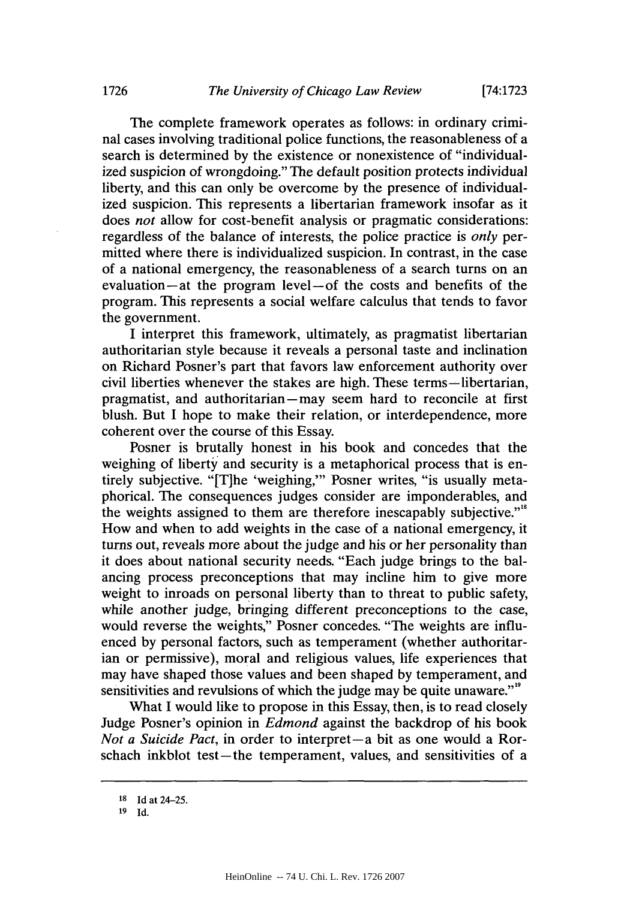The complete framework operates as follows: in ordinary criminal cases involving traditional police functions, the reasonableness of a search is determined **by** the existence or nonexistence of "individualized suspicion of wrongdoing." The default position protects individual liberty, and this can only be overcome **by** the presence of individualized suspicion. This represents a libertarian framework insofar as it does *not* allow for cost-benefit analysis or pragmatic considerations: regardless of the balance of interests, the police practice is *only per*mitted where there is individualized suspicion. In contrast, in the case of a national emergency, the reasonableness of a search turns on an evaluation-at the program level-of the costs and benefits of the program. This represents a social welfare calculus that tends to favor the government.

**I** interpret this framework, ultimately, as pragmatist libertarian authoritarian style because it reveals a personal taste and inclination on Richard Posner's part that favors law enforcement authority over civil liberties whenever the stakes are high. These terms—libertarian, pragmatist, and authoritarian - may seem hard to reconcile at first blush. But **I** hope to make their relation, or interdependence, more coherent over the course of this Essay.

Posner is brutally honest in his book and concedes that the weighing of liberty and security is a metaphorical process that is entirely subjective. "[T]he 'weighing,"' Posner writes, "is usually metaphorical. The consequences judges consider are imponderables, and the weights assigned to them are therefore inescapably subjective."<sup>8</sup> How and when to add weights in the case of a national emergency, it turns out, reveals more about the judge and his or her personality than it does about national security needs. "Each judge brings to the balancing process preconceptions that may incline him to give more weight to inroads on personal liberty than to threat to public safety, while another judge, bringing different preconceptions to the case, would reverse the weights," Posner concedes. "The weights are influenced **by** personal factors, such as temperament (whether authoritarian or permissive), moral and religious values, life experiences that may have shaped those values and been shaped **by** temperament, and sensitivities and revulsions of which the judge may be quite unaware."<sup>"</sup>

What I would like to propose in this Essay, then, is to read closely Judge Posner's opinion in *Edmond* against the backdrop of his book *Not a Suicide Pact*, in order to interpret-a bit as one would a Rorschach inkblot test-the temperament, values, and sensitivities of a

**<sup>18</sup> Id at** 24-25.

**<sup>19</sup> Id.**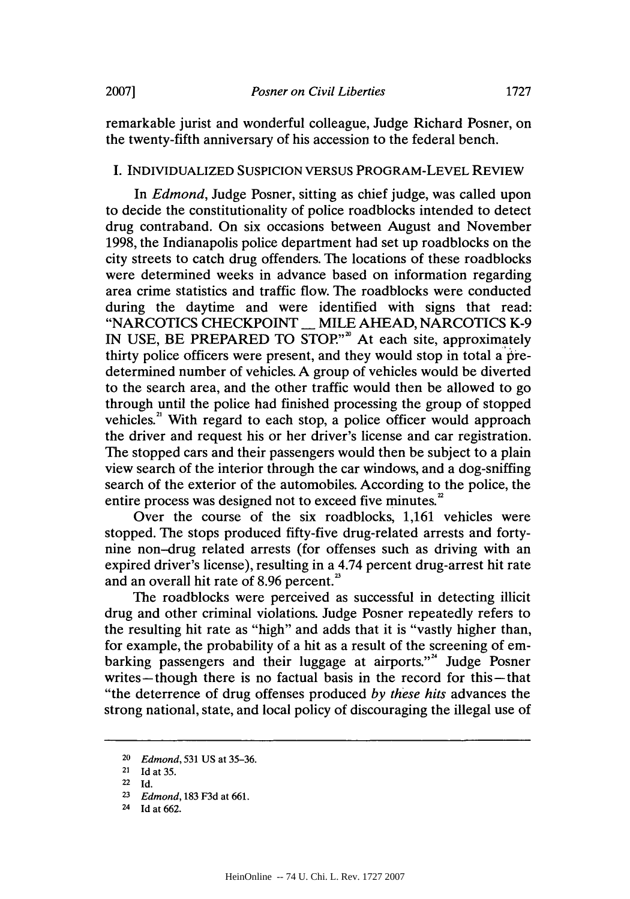remarkable jurist and wonderful colleague, Judge Richard Posner, on the twenty-fifth anniversary of his accession to the federal bench.

# I. **INDIVIDUALIZED SUSPICION VERSUS PROGRAM-LEVEL REVIEW**

*In Edmond,* Judge Posner, sitting as chief judge, was called upon to decide the constitutionality of police roadblocks intended to detect drug contraband. On six occasions between August and November **1998,** the Indianapolis police department had set up roadblocks on the city streets to catch drug offenders. The locations of these roadblocks were determined weeks in advance based on information regarding area crime statistics and traffic flow. The roadblocks were conducted during the daytime and were identified with signs that read: **"NARCOTICS CHECKPOINT** \_ MILE **AHEAD, NARCOTICS** K-9 **IN USE,** BE PREPARED TO **STOP""'** At each site, approximately thirty police officers were present, and they would stop in total a predetermined number of vehicles. **A** group of vehicles would be diverted to the search area, and the other traffic would then be allowed to go through until the police had finished processing the group of stopped vehicles.<sup>21</sup> With regard to each stop, a police officer would approach the driver and request his or her driver's license and car registration. The stopped cars and their passengers would then be subject to a plain view search of the interior through the car windows, and a dog-sniffing search of the exterior of the automobiles. According to the police, the entire process was designed not to exceed five minutes.<sup>2</sup>

Over the course of the six roadblocks, **1,161** vehicles were stopped. The stops produced fifty-five drug-related arrests and fortynine non-drug related arrests (for offenses such as driving with an expired driver's license), resulting in a 4.74 percent drug-arrest hit rate and an overall hit rate of **8.96** percent.

The roadblocks were perceived as successful in detecting illicit drug and other criminal violations. Judge Posner repeatedly refers to the resulting hit rate as "high" and adds that it is "vastly higher than, for example, the probability of a hit as a result of the screening of embarking passengers and their luggage at airports."<sup>4</sup> Judge Posner writes—though there is no factual basis in the record for this—that "the deterrence of drug offenses produced *by these hits* advances the strong national, state, and local policy of discouraging the illegal use of

<sup>20</sup>*Edmond,* **531 US** *at 35-36.*

<sup>21</sup>**Id** *at 35.*

<sup>22</sup> **Id.**

**<sup>23</sup>***Edmond,* **183 F3d** *at* **661.**

<sup>24</sup>**Id** *at* **662.**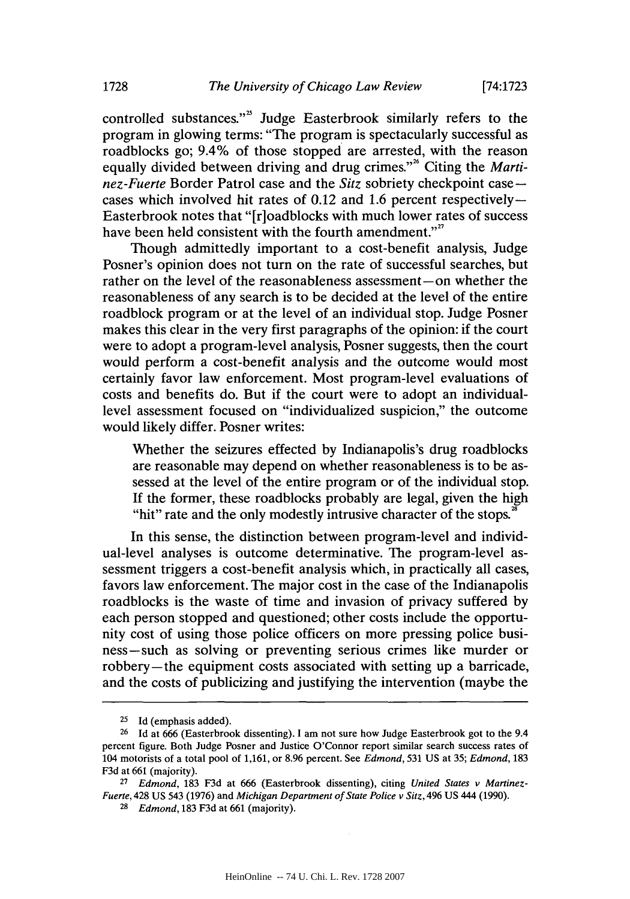controlled substances."<sup>2</sup> Judge Easterbrook similarly refers to the program in glowing terms: "The program is spectacularly successful as roadblocks go; 9.4% of those stopped are arrested, with the reason equally divided between driving and drug crimes."<sup>26</sup> Citing the *Martinez-Fuerte* Border Patrol case and the *Sitz* sobriety checkpoint case cases which involved hit rates of 0.12 and **1.6** percent respectively-Easterbrook notes that "[r]oadblocks with much lower rates of success have been held consistent with the fourth amendment."

Though admittedly important to a cost-benefit analysis, Judge Posner's opinion does not turn on the rate of successful searches, but rather on the level of the reasonableness assessment-on whether the reasonableness of any search is to be decided at the level of the entire roadblock program or at the level of an individual stop. Judge Posner makes this clear in the very first paragraphs of the opinion: if the court were to adopt a program-level analysis, Posner suggests, then the court would perform a cost-benefit analysis and the outcome would most certainly favor law enforcement. Most program-level evaluations of costs and benefits do. But if the court were to adopt an individuallevel assessment focused on "individualized suspicion," the outcome would likely differ. Posner writes:

Whether the seizures effected **by** Indianapolis's drug roadblocks are reasonable may depend on whether reasonableness is to be assessed at the level of the entire program or of the individual stop. **If** the former, these roadblocks probably are legal, given the high "hit" rate and the only modestly intrusive character of the stops. $2^{\circ}$ 

In this sense, the distinction between program-level and individual-level analyses is outcome determinative. The program-level assessment triggers a cost-benefit analysis which, in practically all cases, favors law enforcement. The major cost in the case of the Indianapolis roadblocks is the waste of time and invasion of privacy suffered **by** each person stopped and questioned; other costs include the opportunity cost of using those police officers on more pressing police business-such as solving or preventing serious crimes like murder or robbery-the equipment costs associated with setting up a barricade, and the costs of publicizing and justifying the intervention (maybe the

 $25$  Id (emphasis added).

**<sup>26</sup> Id** at **666** (Easterbrook dissenting). **I** am not sure how Judge Easterbrook got to the 9.4 percent figure. Both Judge Posner and Justice O'Connor report similar search success rates of 104 motorists of a total pool of **1,161,** or **8.96** percent. See *Edmond,* **531 US** at **35;** *Edmond, 183* **F3d** at **661** (majority).

**<sup>27</sup>** *Edmond,* **183 F3d** at **666** (Easterbrook dissenting), citing *United States v Martinez-Fuerte,* 428 **US** 543 **(1976)** and *Michigan Department of State Police v Sitz,* 496 **US** 444 **(1990).**

*<sup>28</sup>Edmond,* **183 F3d** at **661** (majority).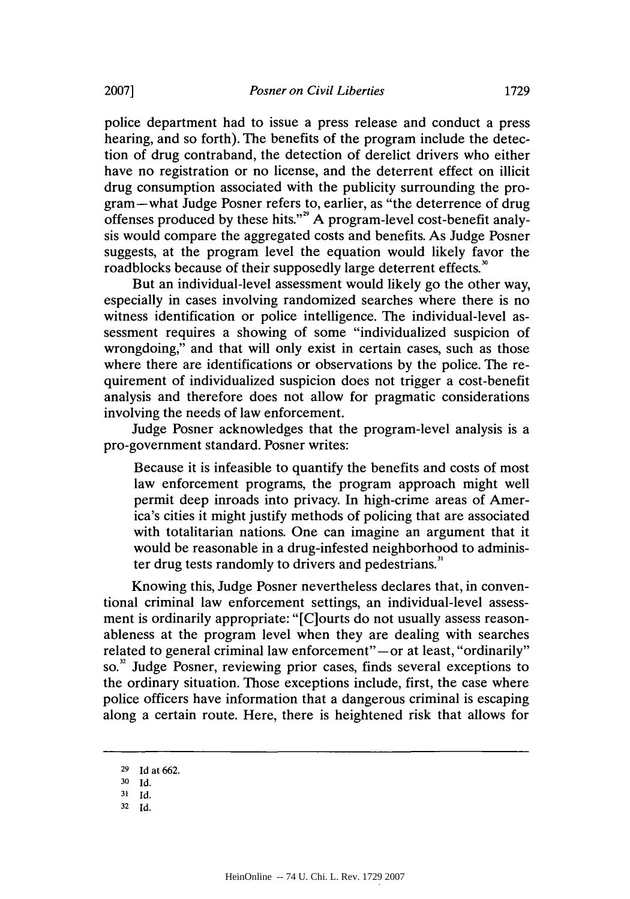police department had to issue a press release and conduct a press hearing, and so forth). The benefits of the program include the detection of drug contraband, the detection of derelict drivers who either have no registration or no license, and the deterrent effect on illicit drug consumption associated with the publicity surrounding the program-what Judge Posner refers to, earlier, as "the deterrence of drug offenses produced **by** these hits."" **A** program-level cost-benefit analysis would compare the aggregated costs and benefits. As Judge Posner suggests, at the program level the equation would likely favor the roadblocks because of their supposedly large deterrent effects.<sup>30</sup>

But an individual-level assessment would likely go the other way, especially in cases involving randomized searches where there is no witness identification or police intelligence. The individual-level assessment requires a showing of some "individualized suspicion of wrongdoing," and that will only exist in certain cases, such as those where there are identifications or observations **by** the police. The requirement of individualized suspicion does not trigger a cost-benefit analysis and therefore does not allow for pragmatic considerations involving the needs of law enforcement.

Judge Posner acknowledges that the program-level analysis is a pro-government standard. Posner writes:

Because it is infeasible to quantify the benefits and costs of most law enforcement programs, the program approach might well permit deep inroads into privacy. In high-crime areas of America's cities it might justify methods of policing that are associated with totalitarian nations. One can imagine an argument that it would be reasonable in a drug-infested neighborhood to administer drug tests randomly to drivers and pedestrians."

Knowing this, Judge Posner nevertheless declares that, in conventional criminal law enforcement settings, an individual-level assessment is ordinarily appropriate: "[C]ourts do not usually assess reasonableness at the program level when they are dealing with searches related to general criminal law enforcement"-or at least, "ordinarily" so." Judge Posner, reviewing prior cases, finds several exceptions to the ordinary situation. Those exceptions include, first, the case where police officers have information that a dangerous criminal is escaping along a certain route. Here, there is heightened risk that allows for

**<sup>29</sup> Id** at **662.**

**<sup>30</sup>** *Id.*

**<sup>31</sup>***Id.*

**<sup>32</sup> Id.**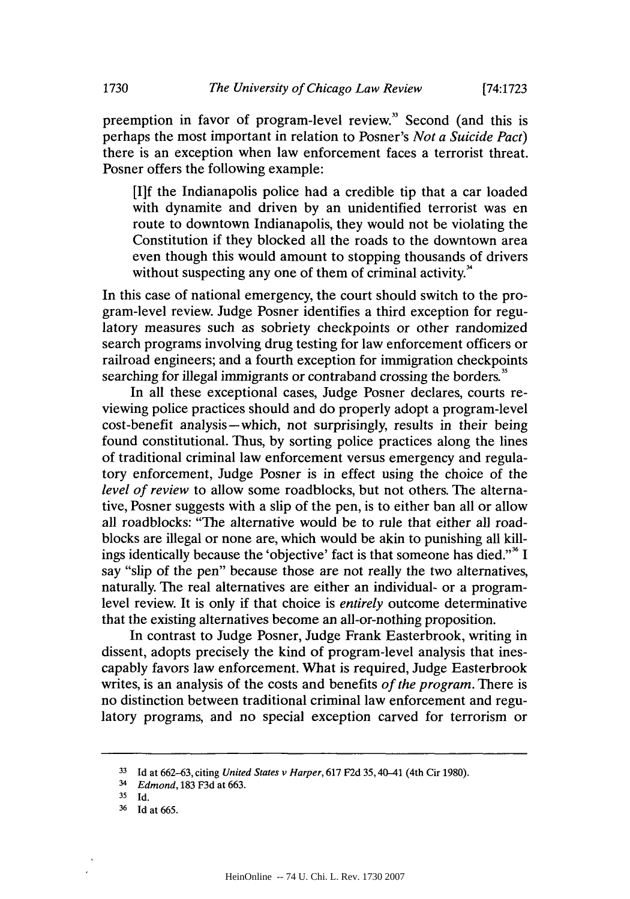preemption in favor of program-level review." Second (and this is perhaps the most important in relation to Posner's *Not a Suicide Pact)* there is an exception when law enforcement faces a terrorist threat. Posner offers the following example:

**[I]f** the Indianapolis police had a credible tip that a car loaded with dynamite and driven **by** an unidentified terrorist was en route to downtown Indianapolis, they would not be violating the Constitution if they blocked all the roads to the downtown area even though this would amount to stopping thousands of drivers without suspecting any one of them of criminal activity. $\lambda$ <sup>3</sup>

In this case of national emergency, the court should switch to the program-level review. Judge Posner identifies a third exception for regulatory measures such as sobriety checkpoints or other randomized search programs involving drug testing for law enforcement officers or railroad engineers; and a fourth exception for immigration checkpoints searching for illegal immigrants or contraband crossing the borders.<sup>35</sup>

In all these exceptional cases, Judge Posner declares, courts reviewing police practices should and do properly adopt a program-level cost-benefit analysis-which, not surprisingly, results in their being found constitutional. Thus, **by** sorting police practices along the lines of traditional criminal law enforcement versus emergency and regulatory enforcement, Judge Posner is in effect using the choice of the *level of review* to allow some roadblocks, but not others. The alternative, Posner suggests with a slip of the pen, is to either ban all or allow all roadblocks: "The alternative would be to rule that either all roadblocks are illegal or none are, which would be akin to punishing all killings identically because the 'objective' fact is that someone has died."" **I** say "slip of the pen" because those are not really the two alternatives, naturally. The real alternatives are either an individual- or a programlevel review. It is only if that choice is *entirely* outcome determinative that the existing alternatives become an all-or-nothing proposition.

In contrast to Judge Posner, Judge Frank Easterbrook, writing in dissent, adopts precisely the kind of program-level analysis that inescapably favors law enforcement. What is required, Judge Easterbrook writes, is an analysis of the costs and benefits *of the program.* There is no distinction between traditional criminal law enforcement and regulatory programs, and no special exception carved for terrorism or

**<sup>33</sup> Id** at **662-63,** citing *United States v Harper,* **617 F2d** *35,* **40-41 (4th Cir 1980).**

<sup>3</sup> *Edmond,* **183 F3d at 663.**

**<sup>35</sup> Id.**

**<sup>36</sup>Id** at **665.**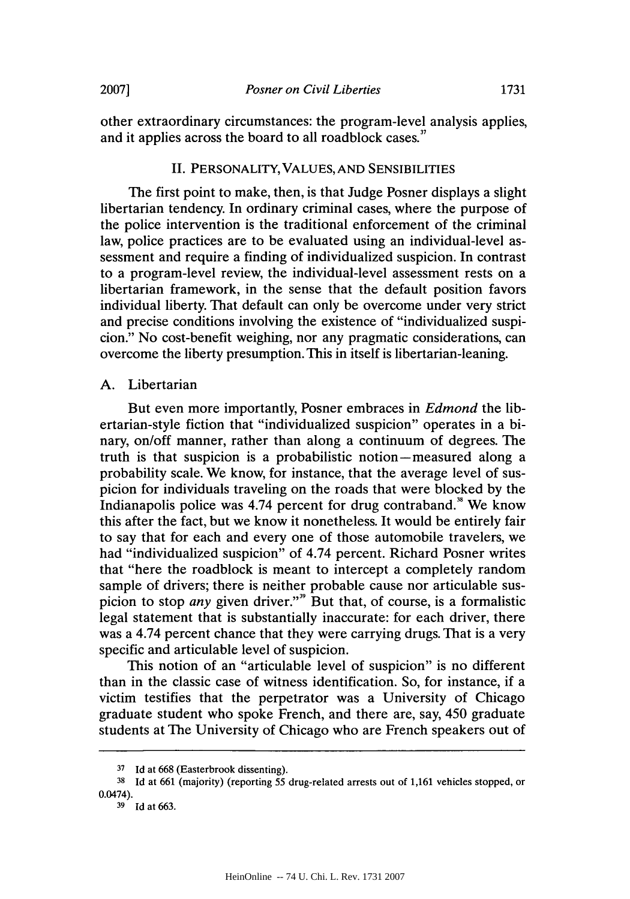other extraordinary circumstances: the program-level analysis applies, and it applies across the board to all roadblock cases."

#### **II.** PERSONALITY, **VALUES, AND** SENSIBILITIES

The first point to make, then, is that Judge Posner displays a slight libertarian tendency. In ordinary criminal cases, where the purpose of the police intervention is the traditional enforcement of the criminal law, police practices are to be evaluated using an individual-level assessment and require a finding of individualized suspicion. In contrast to a program-level review, the individual-level assessment rests on a libertarian framework, in the sense that the default position favors individual liberty. That default can only be overcome under very strict and precise conditions involving the existence of "individualized suspicion." No cost-benefit weighing, nor any pragmatic considerations, can overcome the liberty presumption. This in itself is libertarian-leaning.

#### **A.** Libertarian

But even more importantly, Posner embraces in *Edmond* the libertarian-style fiction that "individualized suspicion" operates in a binary, on/off manner, rather than along a continuum of degrees. The truth is that suspicion is a probabilistic notion-measured along a probability scale. We know, for instance, that the average level of suspicion for individuals traveling on the roads that were blocked **by** the Indianapolis police was  $4.74$  percent for drug contraband.<sup>8</sup> We know this after the fact, but we know it nonetheless. It would be entirely fair to say that for each and every one of those automobile travelers, we had "individualized suspicion" of 4.74 percent. Richard Posner writes that "here the roadblock is meant to intercept a completely random sample of drivers; there is neither probable cause nor articulable suspicion to stop *any* given driver."" But that, of course, is a formalistic legal statement that is substantially inaccurate: for each driver, there was a 4.74 percent chance that they were carrying drugs. That is a very specific and articulable level of suspicion.

This notion of an "articulable level of suspicion" is no different than in the classic case of witness identification. So, for instance, if a victim testifies that the perpetrator was a University of Chicago graduate student who spoke French, and there are, say, *450* graduate students at The University of Chicago who are French speakers out of

**<sup>37</sup>**Id **at 668 (Easterbrook dissenting).**

**<sup>38</sup>Id at 661 (majority) (reporting 55 drug-related arrests out of 1,161 vehicles stopped, or 0.0474).**

**<sup>39</sup>Id at 663.**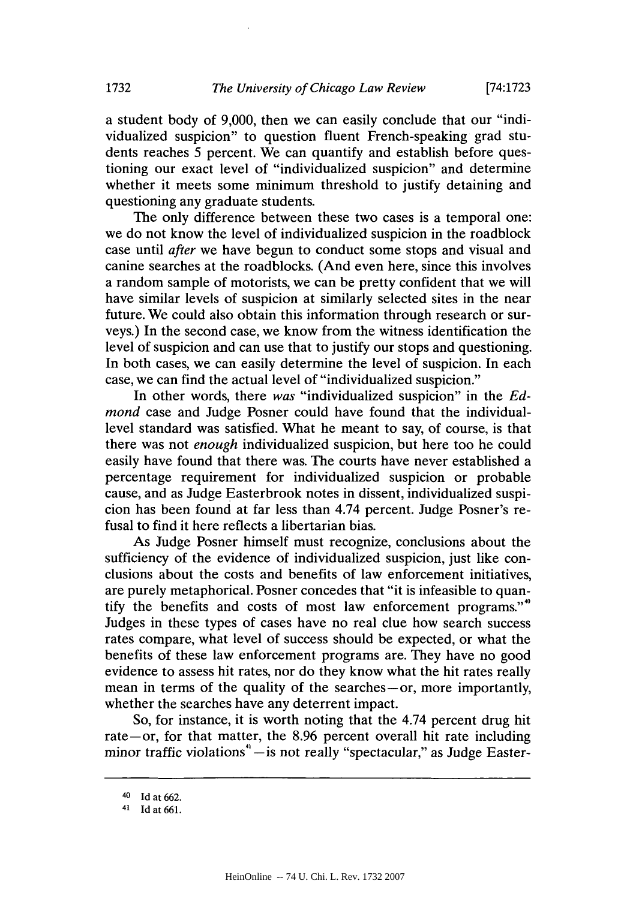a student body of **9,000,** then we can easily conclude that our "individualized suspicion" to question fluent French-speaking grad students reaches *5* percent. We can quantify and establish before questioning our exact level of "individualized suspicion" and determine whether it meets some minimum threshold to justify detaining and questioning any graduate students.

The only difference between these two cases is a temporal one: we do not know the level of individualized suspicion in the roadblock case until *after* we have begun to conduct some stops and visual and canine searches at the roadblocks. (And even here, since this involves a random sample of motorists, we can be pretty confident that we will have similar levels of suspicion at similarly selected sites in the near future. We could also obtain this information through research or surveys.) In the second case, we know from the witness identification the level of suspicion and can use that to justify our stops and questioning. In both cases, we can easily determine the level of suspicion. In each case, we can find the actual level of "individualized suspicion."

In other words, there *was* "individualized suspicion" in the *Edmond* case and Judge Posner could have found that the individuallevel standard was satisfied. What he meant to say, of course, is that there was not *enough* individualized suspicion, but here too he could easily have found that there was. The courts have never established a percentage requirement for individualized suspicion or probable cause, and as Judge Easterbrook notes in dissent, individualized suspicion has been found at far less than 4.74 percent. Judge Posner's refusal to find it here reflects a libertarian bias.

As Judge Posner himself must recognize, conclusions about the sufficiency of the evidence of individualized suspicion, just like conclusions about the costs and benefits of law enforcement initiatives, are purely metaphorical. Posner concedes that "it is infeasible to quantify the benefits and costs of most law enforcement programs."<sup>40</sup> Judges in these types of cases have no real clue how search success rates compare, what level of success should be expected, or what the benefits of these law enforcement programs are. They have no good evidence to assess hit rates, nor do they know what the hit rates really mean in terms of the quality of the searches-or, more importantly, whether the searches have any deterrent impact.

So, for instance, it is worth noting that the 4.74 percent drug hit rate-or, for that matter, the **8.96** percent overall hit rate including minor traffic violations<sup>4</sup> - is not really "spectacular," as Judge Easter-

<sup>4</sup>o **Id at 662.**

**<sup>41</sup> Id at 661.**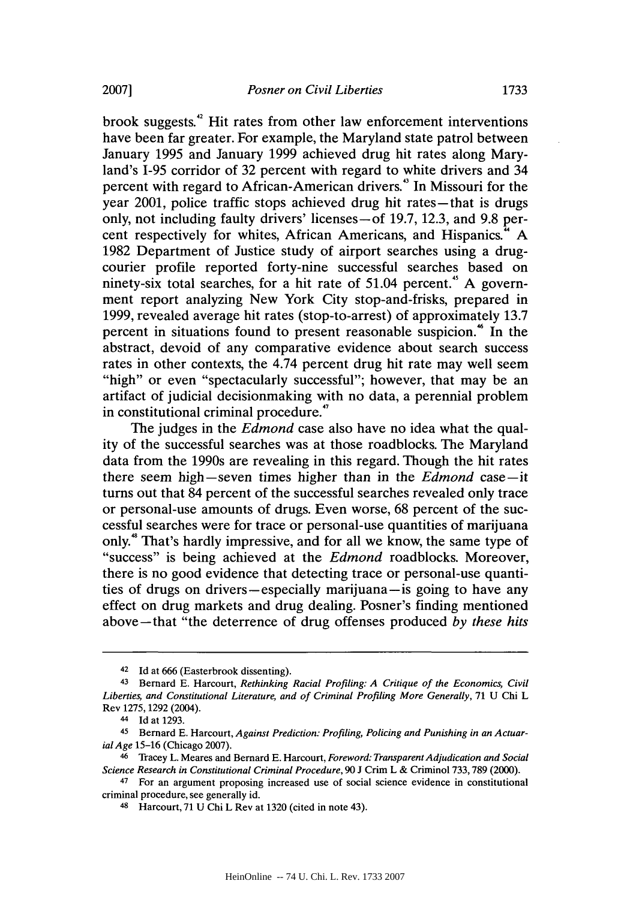brook suggests.<sup>42</sup> Hit rates from other law enforcement interventions have been far greater. For example, the Maryland state patrol between January **1995** and January **1999** achieved drug hit rates along Maryland's **1-95** corridor of **32** percent with regard to white drivers and 34 percent with regard to African-American drivers.<sup>4</sup> In Missouri for the year 2001, police traffic stops achieved drug hit rates-that is drugs only, not including faulty drivers' licenses-of **19.7, 12.3,** and **9.8** percent respectively for whites, African Americans, and Hispanics." **A 1982** Department of Justice study of airport searches using a drugcourier profile reported forty-nine successful searches based on ninety-six total searches, for a hit rate of 51.04 percent.<sup>45</sup> A government report analyzing New York City stop-and-frisks, prepared in **1999,** revealed average hit rates (stop-to-arrest) of approximately **13.7** percent in situations found to present reasonable suspicion." In the abstract, devoid of any comparative evidence about search success rates in other contexts, the 4.74 percent drug hit rate may well seem "high" or even "spectacularly successful"; however, that may be an artifact of judicial decisionmaking with no data, a perennial problem in constitutional criminal procedure."

The judges in the *Edmond* case also have no idea what the quality of the successful searches was at those roadblocks. The Maryland data from the 1990s are revealing in this regard. Though the hit rates there seem high-seven times higher than in the *Edmond case-it* turns out that 84 percent of the successful searches revealed only trace or personal-use amounts of drugs. Even worse, **68** percent of the successful searches were for trace or personal-use quantities of marijuana only." That's hardly impressive, and for all we know, the same type of "success" is being achieved at the *Edmond* roadblocks. Moreover, there is no good evidence that detecting trace or personal-use quantities of drugs on drivers—especially marijuana—is going to have any effect on drug markets and drug dealing. Posner's finding mentioned above-that "the deterrence of drug offenses produced *by these hits*

<sup>42</sup>**Id** at **666** (Easterbrook dissenting).

<sup>43</sup>Bernard **E.** Harcourt, *Rethinking Racial Profiling: A Critique of the Economics, Civil Liberties, and Constitutional Literature, and of Criminal Profiling More Generally,* **71 U** Chi L Rev **1275, 1292** (2004).

<sup>44</sup> Id at **1293.**

<sup>45</sup> Bernard **E.** Harcourt, *Against Prediction: Profiling, Policing and Punishing in an ActuarialAge* **15-16** (Chicago **2007).**

<sup>46</sup> Tracey L. Meares and Bernard **E.** Harcourt, *Foreword: Transparent Adjudication and Social Science Research in Constitutional Criminal Procedure,* **90 J** Crim L **&** Criminol **733,789** (2000).

<sup>&</sup>lt;sup>47</sup> For an argument proposing increased use of social science evidence in constitutional criminal procedure, see generally id.

<sup>48</sup> Harcourt, **71 U** Chi L Rev at **1320** (cited in note 43).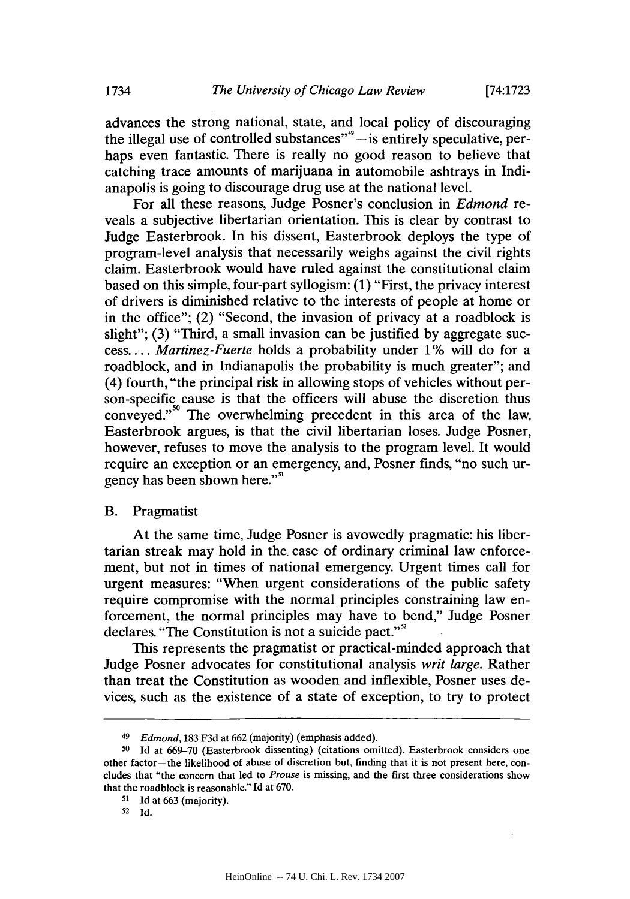advances the strong national, state, and local policy of discouraging the illegal use of controlled substances"<sup>4</sup>-is entirely speculative, perhaps even fantastic. There is really no good reason to believe that catching trace amounts of marijuana in automobile ashtrays in Indianapolis is going to discourage drug use at the national level.

For all these reasons, Judge Posner's conclusion in *Edmond re*veals a subjective libertarian orientation. This is clear **by** contrast to Judge Easterbrook. In his dissent, Easterbrook deploys the type of program-level analysis that necessarily weighs against the civil rights claim. Easterbrook would have ruled against the constitutional claim based on this simple, four-part syllogism: **(1)** "First, the privacy interest of drivers is diminished relative to the interests of people at home or in the office"; (2) "Second, the invasion of privacy at a roadblock is slight"; **(3)** "Third, a small invasion can be justified **by** aggregate suc*cess.... Martinez-Fuerte* holds a probability under **1%** will do for a roadblock, and in Indianapolis the probability is much greater"; and (4) fourth, "the principal risk in allowing stops of vehicles without person-specific cause is that the officers will abuse the discretion thus conveyed."<sup>50</sup> The overwhelming precedent in this area of the law, Easterbrook argues, is that the civil libertarian loses. Judge Posner, however, refuses to move the analysis to the program level. It would require an exception or an emergency, and, Posner finds, "no such urgency has been shown here."<sup>51</sup>

### B. Pragmatist

At the same time, Judge Posner is avowedly pragmatic: his libertarian streak may hold in the. case of ordinary criminal law enforcement, but not in times of national emergency. Urgent times call for urgent measures: "When urgent considerations of the public safety require compromise with the normal principles constraining law enforcement, the normal principles may have to bend," Judge Posner declares. "The Constitution is not a suicide pact."<sup>2</sup>

This represents the pragmatist or practical-minded approach that Judge Posner advocates for constitutional analysis *writ large.* Rather than treat the Constitution as wooden and inflexible, Posner uses devices, such as the existence of a state of exception, to try to protect

## **<sup>52</sup>**Id.

**<sup>49</sup>***Edmond,* **183 F3d** at **662** (majority) (emphasis added).

**<sup>50</sup>Id** at **669-70** (Easterbrook dissenting) (citations omitted). Easterbrook considers one other factor-the likelihood of abuse of discretion but, finding that it is not present here, concludes that "the concern that led to *Prouse* is missing, and the first three considerations show that the roadblock is reasonable." Id at **670.**

**<sup>51</sup>** Id at **663** (majority).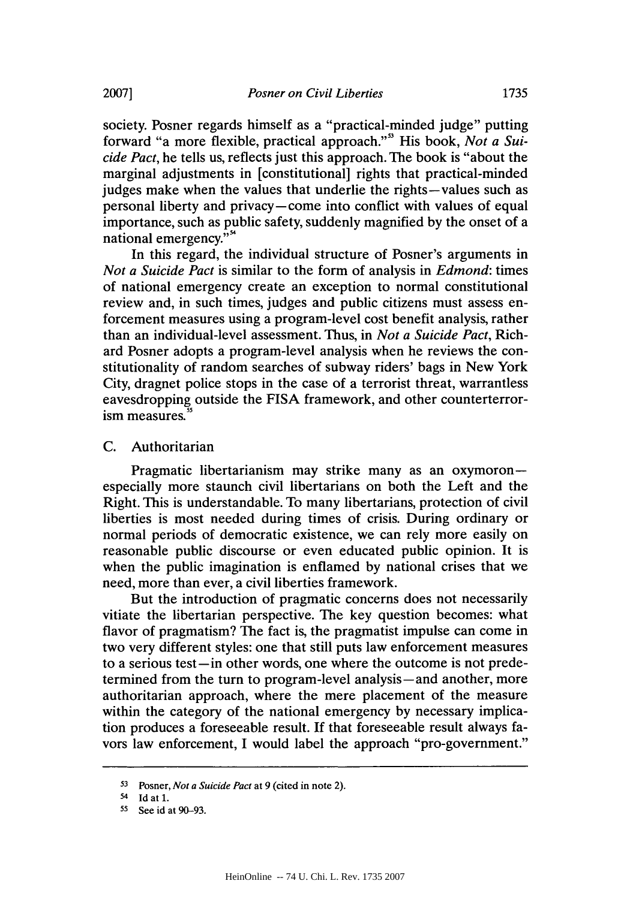society. Posner regards himself as a "practical-minded judge" putting forward "a more flexible, practical approach."" His book, *Not a Suicide Pact,* he tells us, reflects just this approach. The book is "about the marginal adjustments in [constitutional] rights that practical-minded judges make when the values that underlie the rights-values such as personal liberty and privacy-come into conflict with values of equal importance, such as public safety, suddenly magnified **by** the onset of a national emergency."<sup>54</sup>

In this regard, the individual structure of Posner's arguments in *Not a Suicide Pact* is similar to the form of analysis in *Edmond:* times of national emergency create an exception to normal constitutional review and, in such times, judges and public citizens must assess enforcement measures using a program-level cost benefit analysis, rather than an individual-level assessment. Thus, in *Not a Suicide Pact,* Richard Posner adopts a program-level analysis when he reviews the constitutionality of random searches of subway riders' bags in New York City, dragnet police stops in the case of a terrorist threat, warrantless eavesdropping outside the FISA framework, and other counterterror-<br>ism measures.<sup>55</sup>

#### **C.** Authoritarian

Pragmatic libertarianism may strike many as an oxymoronespecially more staunch civil libertarians on both the Left and the Right. This is understandable. To many libertarians, protection of civil liberties is most needed during times of crisis. During ordinary or normal periods of democratic existence, we can rely more easily on reasonable public discourse or even educated public opinion. It is when the public imagination is enflamed **by** national crises that we need, more than ever, a civil liberties framework.

But the introduction of pragmatic concerns does not necessarily vitiate the libertarian perspective. The key question becomes: what flavor of pragmatism? The fact is, the pragmatist impulse can come in two very different styles: one that still puts law enforcement measures to a serious test—in other words, one where the outcome is not predetermined from the turn to program-level analysis-and another, more authoritarian approach, where the mere placement of the measure within the category of the national emergency **by** necessary implication produces a foreseeable result. **If** that foreseeable result always favors law enforcement, **I** would label the approach "pro-government."

**<sup>53</sup> Posner,** *Not a Suicide Pact at* **9 (cited in note 2).**

<sup>5</sup>**Id at 1.**

**<sup>55</sup> See id at 90-93.**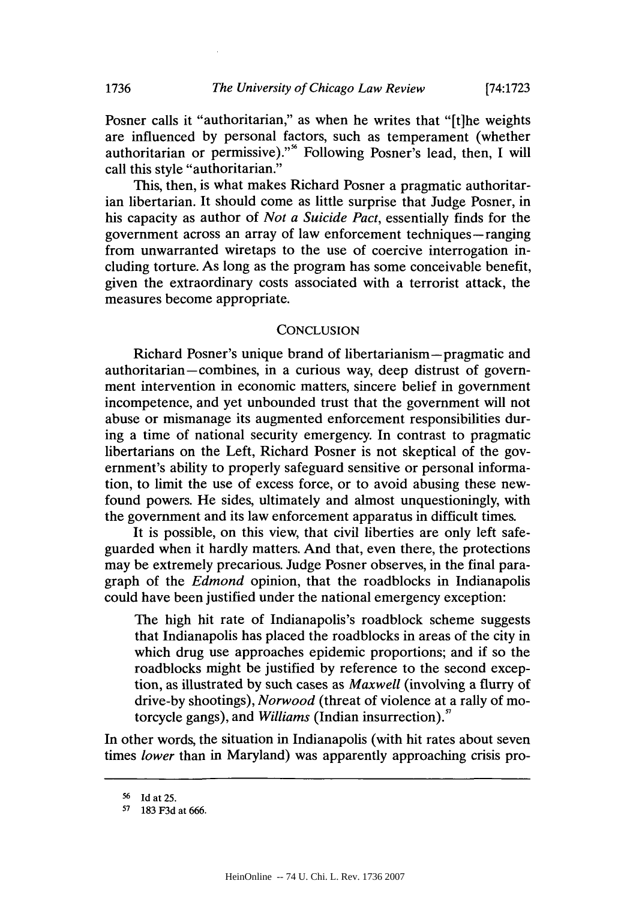Posner calls it "authoritarian," as when he writes that "[t]he weights are influenced **by** personal factors, such as temperament (whether authoritarian or permissive)." Following Posner's lead, then, **I** will call this style "authoritarian."

This, then, is what makes Richard Posner a pragmatic authoritarian libertarian. It should come as little surprise that Judge Posner, in his capacity as author of *Not a Suicide Pact,* essentially finds for the government across an array of law enforcement techniques—ranging from unwarranted wiretaps to the use of coercive interrogation including torture. As long as the program has some conceivable benefit, given the extraordinary costs associated with a terrorist attack, the measures become appropriate.

#### **CONCLUSION**

Richard Posner's unique brand of libertarianism-pragmatic and authoritarian—combines, in a curious way, deep distrust of government intervention in economic matters, sincere belief in government incompetence, and yet unbounded trust that the government will not abuse or mismanage its augmented enforcement responsibilities during a time of national security emergency. In contrast to pragmatic libertarians on the Left, Richard Posner is not skeptical of the government's ability to properly safeguard sensitive or personal information, to limit the use of excess force, or to avoid abusing these newfound powers. He sides, ultimately and almost unquestioningly, with the government and its law enforcement apparatus in difficult times.

It is possible, on this view, that civil liberties are only left safeguarded when it hardly matters. And that, even there, the protections may be extremely precarious. Judge Posner observes, in the final paragraph of the *Edmond* opinion, that the roadblocks in Indianapolis could have been justified under the national emergency exception:

The high hit rate of Indianapolis's roadblock scheme suggests that Indianapolis has placed the roadblocks in areas of the city in which drug use approaches epidemic proportions; and if so the roadblocks might be justified **by** reference to the second exception, as illustrated **by** such cases as *Maxwell* (involving a flurry of drive-by shootings), *Norwood* (threat of violence at a rally of motorcycle gangs), and *Williams* (Indian insurrection)."

In other words, the situation in Indianapolis (with hit rates about seven times *lower* than in Maryland) was apparently approaching crisis pro-

**<sup>56</sup>Id** at **25.**

**<sup>57</sup>183 F3d** at **666.**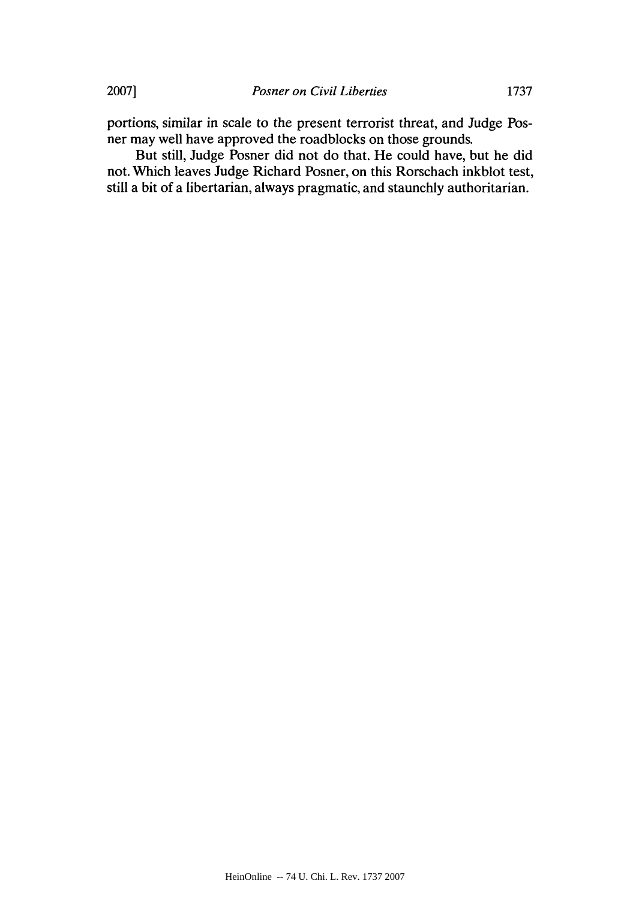portions, similar in scale to the present terrorist threat, and Judge Posner may well have approved the roadblocks on those grounds.

But still, Judge Posner did not do that. He could have, but he did not. Which leaves Judge Richard Posner, on this Rorschach inkblot test, still a bit of a libertarian, always pragmatic, and staunchly authoritarian.